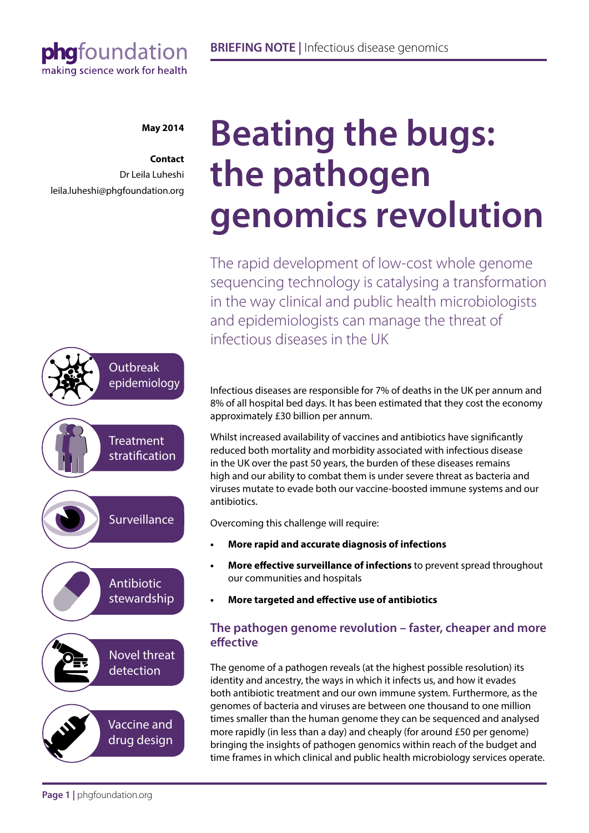## phgfoundation making science work for health

#### **May 2014**

**Contact** Dr Leila Luheshi leila.luheshi@phgfoundation.org



# **Beating the bugs: the pathogen genomics revolution**

The rapid development of low-cost whole genome sequencing technology is catalysing a transformation in the way clinical and public health microbiologists and epidemiologists can manage the threat of infectious diseases in the UK

Infectious diseases are responsible for 7% of deaths in the UK per annum and 8% of all hospital bed days. It has been estimated that they cost the economy approximately £30 billion per annum.

Whilst increased availability of vaccines and antibiotics have significantly reduced both mortality and morbidity associated with infectious disease in the UK over the past 50 years, the burden of these diseases remains high and our ability to combat them is under severe threat as bacteria and viruses mutate to evade both our vaccine-boosted immune systems and our antibiotics.

Overcoming this challenge will require:

- **• More rapid and accurate diagnosis of infections**
- **More effective surveillance of infections** to prevent spread throughout our communities and hospitals
- **• More targeted and effective use of antibiotics**

## **The pathogen genome revolution – faster, cheaper and more effective**

The genome of a pathogen reveals (at the highest possible resolution) its identity and ancestry, the ways in which it infects us, and how it evades both antibiotic treatment and our own immune system. Furthermore, as the genomes of bacteria and viruses are between one thousand to one million times smaller than the human genome they can be sequenced and analysed more rapidly (in less than a day) and cheaply (for around £50 per genome) bringing the insights of pathogen genomics within reach of the budget and time frames in which clinical and public health microbiology services operate.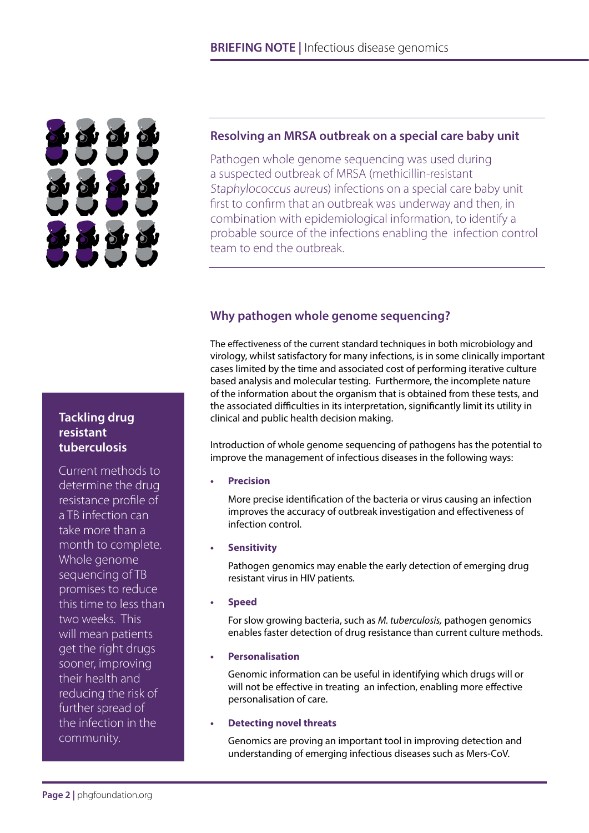

#### **Resolving an MRSA outbreak on a special care baby unit**

Pathogen whole genome sequencing was used during a suspected outbreak of MRSA (methicillin-resistant Staphylococcus aureus) infections on a special care baby unit first to confirm that an outbreak was underway and then, in combination with epidemiological information, to identify a probable source of the infections enabling the infection control team to end the outbreak.

## **Why pathogen whole genome sequencing?**

The effectiveness of the current standard techniques in both microbiology and virology, whilst satisfactory for many infections, is in some clinically important cases limited by the time and associated cost of performing iterative culture based analysis and molecular testing. Furthermore, the incomplete nature of the information about the organism that is obtained from these tests, and the associated difficulties in its interpretation, significantly limit its utility in clinical and public health decision making.

Introduction of whole genome sequencing of pathogens has the potential to improve the management of infectious diseases in the following ways:

**Precision** 

More precise identification of the bacteria or virus causing an infection improves the accuracy of outbreak investigation and effectiveness of infection control.

**• Sensitivity**

Pathogen genomics may enable the early detection of emerging drug resistant virus in HIV patients.

**• Speed**

For slow growing bacteria, such as *M. tuberculosis,* pathogen genomics enables faster detection of drug resistance than current culture methods.

**• Personalisation**

Genomic information can be useful in identifying which drugs will or will not be effective in treating an infection, enabling more effective personalisation of care.

#### **• Detecting novel threats**

Genomics are proving an important tool in improving detection and understanding of emerging infectious diseases such as Mers-CoV.

## **Tackling drug resistant tuberculosis**

Current methods to determine the drug resistance profile of a TB infection can take more than a month to complete. Whole genome sequencing of TB promises to reduce this time to less than two weeks. This will mean patients get the right drugs sooner, improving their health and reducing the risk of further spread of the infection in the community.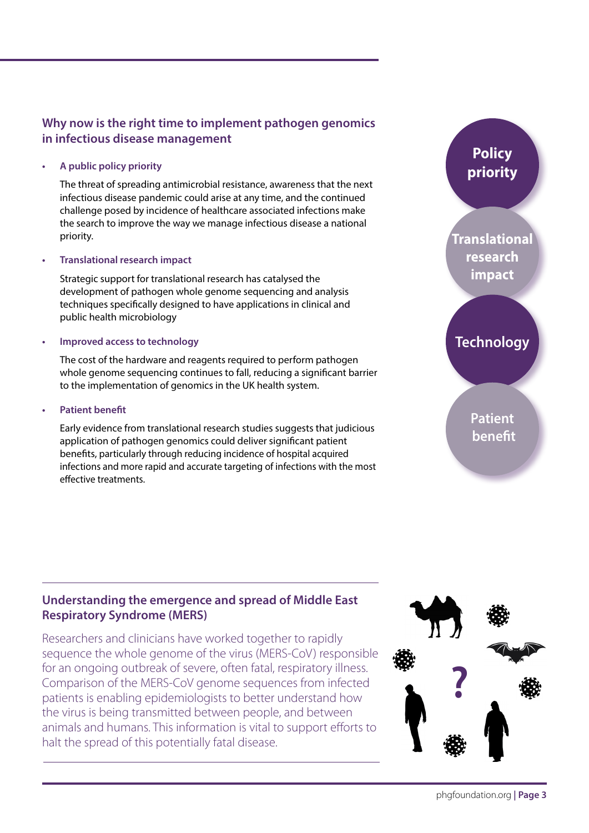## **Why now is the right time to implement pathogen genomics in infectious disease management**

**• A public policy priority**

The threat of spreading antimicrobial resistance, awareness that the next infectious disease pandemic could arise at any time, and the continued challenge posed by incidence of healthcare associated infections make the search to improve the way we manage infectious disease a national priority.

**Franslational research impact** 

Strategic support for translational research has catalysed the development of pathogen whole genome sequencing and analysis techniques specifically designed to have applications in clinical and public health microbiology

#### **Improved access to technology**

The cost of the hardware and reagents required to perform pathogen whole genome sequencing continues to fall, reducing a significant barrier to the implementation of genomics in the UK health system.

**Patient benefit** 

Early evidence from translational research studies suggests that judicious application of pathogen genomics could deliver significant patient benefits, particularly through reducing incidence of hospital acquired infections and more rapid and accurate targeting of infections with the most effective treatments.



**Policy priority**

## **Technology**

**Patient benefit**

## **Understanding the emergence and spread of Middle East Respiratory Syndrome (MERS)**

Researchers and clinicians have worked together to rapidly sequence the whole genome of the virus (MERS-CoV) responsible for an ongoing outbreak of severe, often fatal, respiratory illness. Comparison of the MERS-CoV genome sequences from infected patients is enabling epidemiologists to better understand how the virus is being transmitted between people, and between animals and humans. This information is vital to support efforts to halt the spread of this potentially fatal disease.